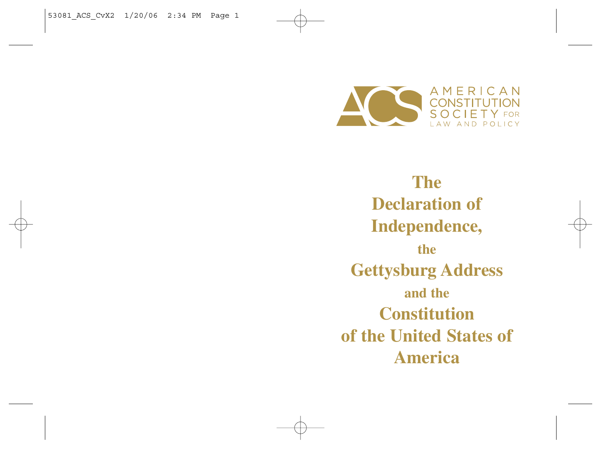

# **The Declaration of Independence, the Gettysburg Address and the Constitution of the United States of America**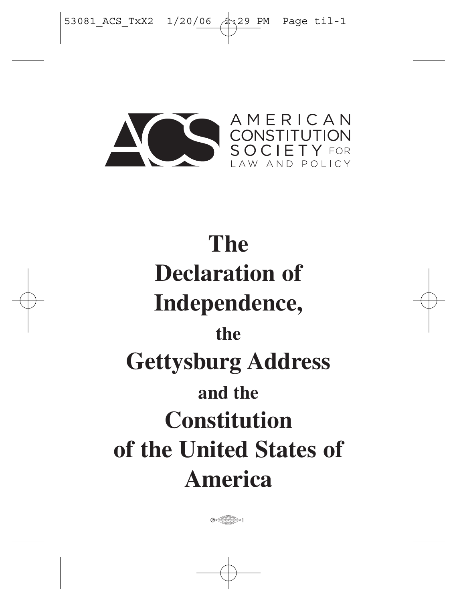

# **The Declaration of Independence, the Gettysburg Address and the Constitution of the United States of America**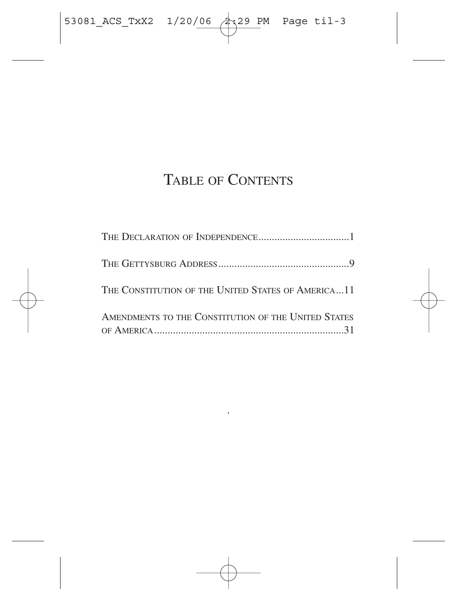# TABLE OF CONTENTS

| THE CONSTITUTION OF THE UNITED STATES OF AMERICA11  |
|-----------------------------------------------------|
| AMENDMENTS TO THE CONSTITUTION OF THE UNITED STATES |

.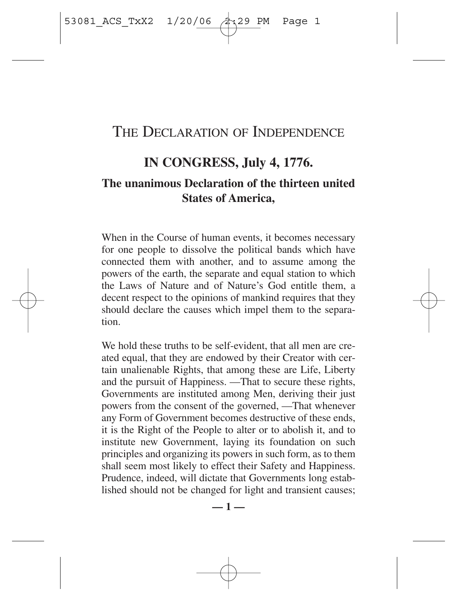# THE DECLARATION OF INDEPENDENCE

# **IN CONGRESS, July 4, 1776. The unanimous Declaration of the thirteen united States of America,**

When in the Course of human events, it becomes necessary for one people to dissolve the political bands which have connected them with another, and to assume among the powers of the earth, the separate and equal station to which the Laws of Nature and of Nature's God entitle them, a decent respect to the opinions of mankind requires that they should declare the causes which impel them to the separation.

We hold these truths to be self-evident, that all men are created equal, that they are endowed by their Creator with certain unalienable Rights, that among these are Life, Liberty and the pursuit of Happiness. —That to secure these rights, Governments are instituted among Men, deriving their just powers from the consent of the governed, —That whenever any Form of Government becomes destructive of these ends, it is the Right of the People to alter or to abolish it, and to institute new Government, laying its foundation on such principles and organizing its powers in such form, as to them shall seem most likely to effect their Safety and Happiness. Prudence, indeed, will dictate that Governments long established should not be changed for light and transient causes;

**— 1 —**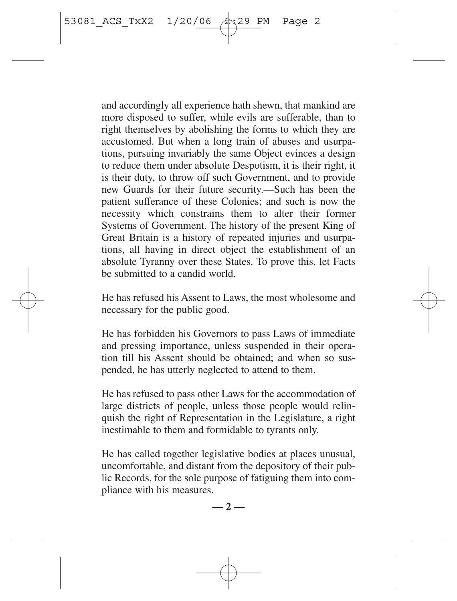and accordingly all experience hath shewn, that mankind are more disposed to suffer, while evils are sufferable, than to right themselves by abolishing the forms to which they are accustomed. But when a long train of abuses and usurpations, pursuing invariably the same Object evinces a design to reduce them under absolute Despotism, it is their right, it is their duty, to throw off such Government, and to provide new Guards for their future security.—Such has been the patient sufferance of these Colonies; and such is now the necessity which constrains them to alter their former Systems of Government. The history of the present King of Great Britain is a history of repeated injuries and usurpations, all having in direct object the establishment of an absolute Tyranny over these States. To prove this, let Facts be submitted to a candid world.

He has refused his Assent to Laws, the most wholesome and necessary for the public good.

He has forbidden his Governors to pass Laws of immediate and pressing importance, unless suspended in their operation till his Assent should be obtained; and when so suspended, he has utterly neglected to attend to them.

He has refused to pass other Laws for the accommodation of large districts of people, unless those people would relinquish the right of Representation in the Legislature, a right inestimable to them and formidable to tyrants only.

He has called together legislative bodies at places unusual, uncomfortable, and distant from the depository of their public Records, for the sole purpose of fatiguing them into compliance with his measures.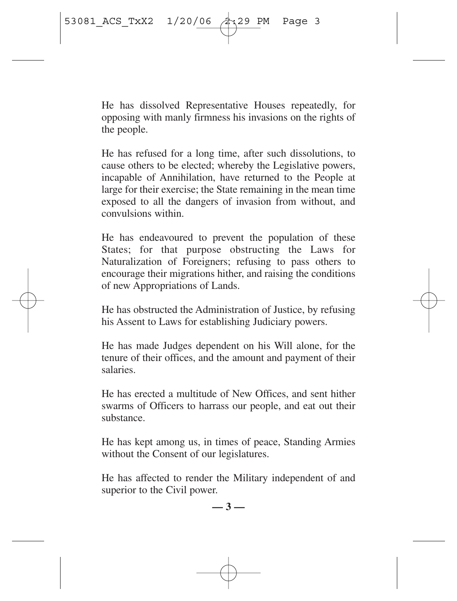He has dissolved Representative Houses repeatedly, for opposing with manly firmness his invasions on the rights of the people.

He has refused for a long time, after such dissolutions, to cause others to be elected; whereby the Legislative powers, incapable of Annihilation, have returned to the People at large for their exercise; the State remaining in the mean time exposed to all the dangers of invasion from without, and convulsions within.

He has endeavoured to prevent the population of these States; for that purpose obstructing the Laws for Naturalization of Foreigners; refusing to pass others to encourage their migrations hither, and raising the conditions of new Appropriations of Lands.

He has obstructed the Administration of Justice, by refusing his Assent to Laws for establishing Judiciary powers.

He has made Judges dependent on his Will alone, for the tenure of their offices, and the amount and payment of their salaries.

He has erected a multitude of New Offices, and sent hither swarms of Officers to harrass our people, and eat out their substance.

He has kept among us, in times of peace, Standing Armies without the Consent of our legislatures.

He has affected to render the Military independent of and superior to the Civil power.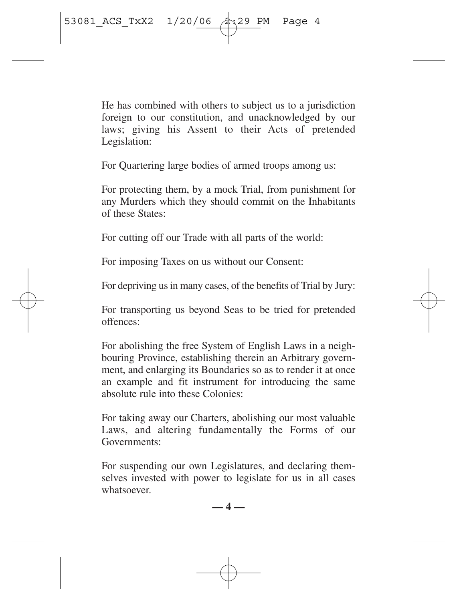He has combined with others to subject us to a jurisdiction foreign to our constitution, and unacknowledged by our laws; giving his Assent to their Acts of pretended Legislation:

For Quartering large bodies of armed troops among us:

For protecting them, by a mock Trial, from punishment for any Murders which they should commit on the Inhabitants of these States:

For cutting off our Trade with all parts of the world:

For imposing Taxes on us without our Consent:

For depriving us in many cases, of the benefits of Trial by Jury:

For transporting us beyond Seas to be tried for pretended offences:

For abolishing the free System of English Laws in a neighbouring Province, establishing therein an Arbitrary government, and enlarging its Boundaries so as to render it at once an example and fit instrument for introducing the same absolute rule into these Colonies:

For taking away our Charters, abolishing our most valuable Laws, and altering fundamentally the Forms of our Governments:

For suspending our own Legislatures, and declaring themselves invested with power to legislate for us in all cases whatsoever.

**— 4 —**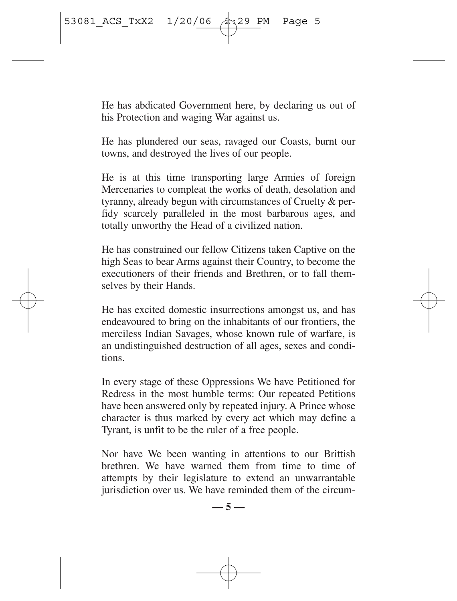He has abdicated Government here, by declaring us out of his Protection and waging War against us.

He has plundered our seas, ravaged our Coasts, burnt our towns, and destroyed the lives of our people.

He is at this time transporting large Armies of foreign Mercenaries to compleat the works of death, desolation and tyranny, already begun with circumstances of Cruelty & perfidy scarcely paralleled in the most barbarous ages, and totally unworthy the Head of a civilized nation.

He has constrained our fellow Citizens taken Captive on the high Seas to bear Arms against their Country, to become the executioners of their friends and Brethren, or to fall themselves by their Hands.

He has excited domestic insurrections amongst us, and has endeavoured to bring on the inhabitants of our frontiers, the merciless Indian Savages, whose known rule of warfare, is an undistinguished destruction of all ages, sexes and conditions.

In every stage of these Oppressions We have Petitioned for Redress in the most humble terms: Our repeated Petitions have been answered only by repeated injury. A Prince whose character is thus marked by every act which may define a Tyrant, is unfit to be the ruler of a free people.

Nor have We been wanting in attentions to our Brittish brethren. We have warned them from time to time of attempts by their legislature to extend an unwarrantable jurisdiction over us. We have reminded them of the circum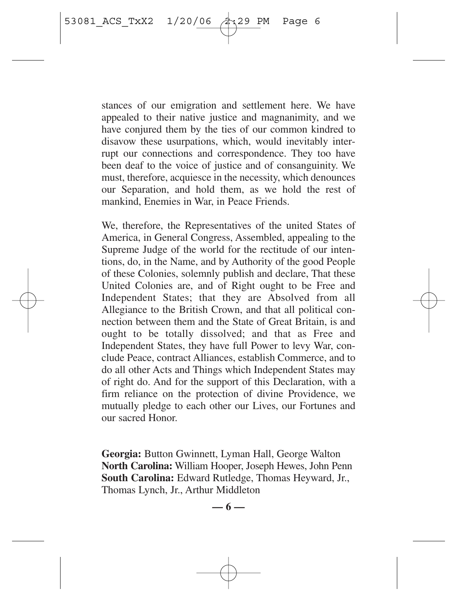stances of our emigration and settlement here. We have appealed to their native justice and magnanimity, and we have conjured them by the ties of our common kindred to disavow these usurpations, which, would inevitably interrupt our connections and correspondence. They too have been deaf to the voice of justice and of consanguinity. We must, therefore, acquiesce in the necessity, which denounces our Separation, and hold them, as we hold the rest of mankind, Enemies in War, in Peace Friends.

We, therefore, the Representatives of the united States of America, in General Congress, Assembled, appealing to the Supreme Judge of the world for the rectitude of our intentions, do, in the Name, and by Authority of the good People of these Colonies, solemnly publish and declare, That these United Colonies are, and of Right ought to be Free and Independent States; that they are Absolved from all Allegiance to the British Crown, and that all political connection between them and the State of Great Britain, is and ought to be totally dissolved; and that as Free and Independent States, they have full Power to levy War, conclude Peace, contract Alliances, establish Commerce, and to do all other Acts and Things which Independent States may of right do. And for the support of this Declaration, with a firm reliance on the protection of divine Providence, we mutually pledge to each other our Lives, our Fortunes and our sacred Honor.

**Georgia:** Button Gwinnett, Lyman Hall, George Walton **North Carolina:** William Hooper, Joseph Hewes, John Penn **South Carolina:** Edward Rutledge, Thomas Heyward, Jr., Thomas Lynch, Jr., Arthur Middleton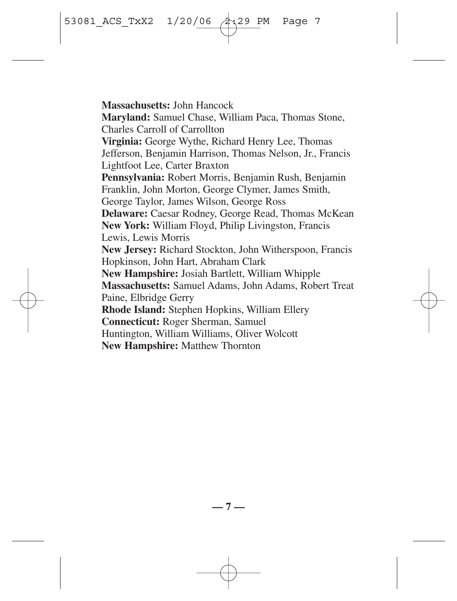**Massachusetts:** John Hancock **Maryland:** Samuel Chase, William Paca, Thomas Stone, Charles Carroll of Carrollton **Virginia:** George Wythe, Richard Henry Lee, Thomas Jefferson, Benjamin Harrison, Thomas Nelson, Jr., Francis Lightfoot Lee, Carter Braxton **Pennsylvania:** Robert Morris, Benjamin Rush, Benjamin Franklin, John Morton, George Clymer, James Smith, George Taylor, James Wilson, George Ross **Delaware:** Caesar Rodney, George Read, Thomas McKean **New York:** William Floyd, Philip Livingston, Francis Lewis, Lewis Morris **New Jersey:** Richard Stockton, John Witherspoon, Francis Hopkinson, John Hart, Abraham Clark **New Hampshire:** Josiah Bartlett, William Whipple **Massachusetts:** Samuel Adams, John Adams, Robert Treat Paine, Elbridge Gerry **Rhode Island:** Stephen Hopkins, William Ellery **Connecticut:** Roger Sherman, Samuel Huntington, William Williams, Oliver Wolcott **New Hampshire:** Matthew Thornton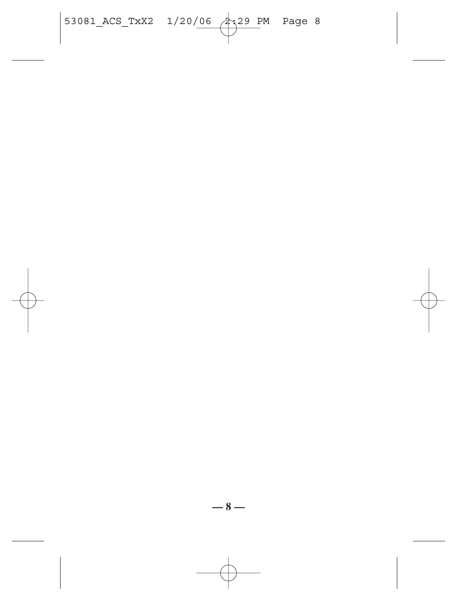**— 8 —**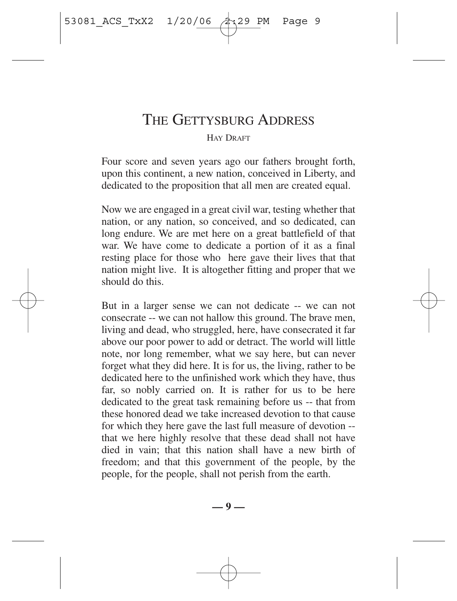# THE GETTYSBURG ADDRESS

#### HAY DRAFT

Four score and seven years ago our fathers brought forth, upon this continent, a new nation, conceived in Liberty, and dedicated to the proposition that all men are created equal.

Now we are engaged in a great civil war, testing whether that nation, or any nation, so conceived, and so dedicated, can long endure. We are met here on a great battlefield of that war. We have come to dedicate a portion of it as a final resting place for those who here gave their lives that that nation might live. It is altogether fitting and proper that we should do this.

But in a larger sense we can not dedicate -- we can not consecrate -- we can not hallow this ground. The brave men, living and dead, who struggled, here, have consecrated it far above our poor power to add or detract. The world will little note, nor long remember, what we say here, but can never forget what they did here. It is for us, the living, rather to be dedicated here to the unfinished work which they have, thus far, so nobly carried on. It is rather for us to be here dedicated to the great task remaining before us -- that from these honored dead we take increased devotion to that cause for which they here gave the last full measure of devotion - that we here highly resolve that these dead shall not have died in vain; that this nation shall have a new birth of freedom; and that this government of the people, by the people, for the people, shall not perish from the earth.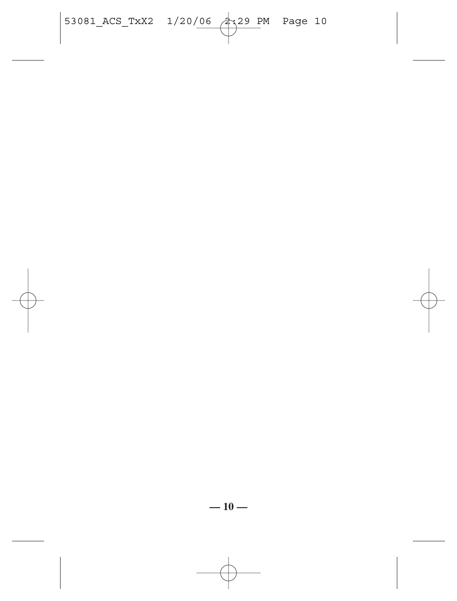$-10-$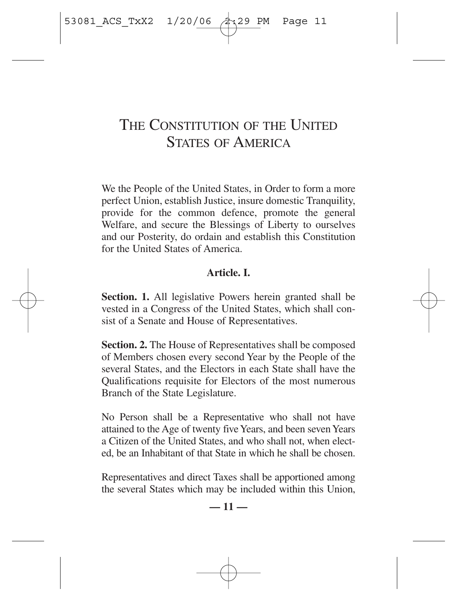# THE CONSTITUTION OF THE UNITED STATES OF AMERICA

We the People of the United States, in Order to form a more perfect Union, establish Justice, insure domestic Tranquility, provide for the common defence, promote the general Welfare, and secure the Blessings of Liberty to ourselves and our Posterity, do ordain and establish this Constitution for the United States of America.

#### **Article. I.**

**Section. 1.** All legislative Powers herein granted shall be vested in a Congress of the United States, which shall consist of a Senate and House of Representatives.

**Section. 2.** The House of Representatives shall be composed of Members chosen every second Year by the People of the several States, and the Electors in each State shall have the Qualifications requisite for Electors of the most numerous Branch of the State Legislature.

No Person shall be a Representative who shall not have attained to the Age of twenty five Years, and been seven Years a Citizen of the United States, and who shall not, when elected, be an Inhabitant of that State in which he shall be chosen.

Representatives and direct Taxes shall be apportioned among the several States which may be included within this Union,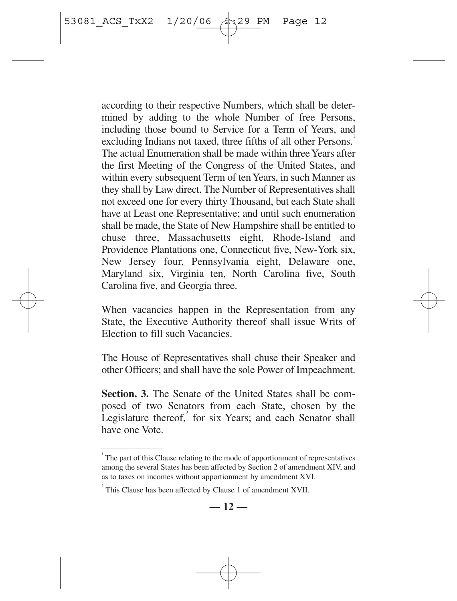according to their respective Numbers, which shall be determined by adding to the whole Number of free Persons, including those bound to Service for a Term of Years, and excluding Indians not taxed, three fifths of all other Persons.<sup>1</sup> The actual Enumeration shall be made within three Years after the first Meeting of the Congress of the United States, and within every subsequent Term of ten Years, in such Manner as they shall by Law direct. The Number of Representatives shall not exceed one for every thirty Thousand, but each State shall have at Least one Representative; and until such enumeration shall be made, the State of New Hampshire shall be entitled to chuse three, Massachusetts eight, Rhode-Island and Providence Plantations one, Connecticut five, New-York six, New Jersey four, Pennsylvania eight, Delaware one, Maryland six, Virginia ten, North Carolina five, South Carolina five, and Georgia three.

When vacancies happen in the Representation from any State, the Executive Authority thereof shall issue Writs of Election to fill such Vacancies.

The House of Representatives shall chuse their Speaker and other Officers; and shall have the sole Power of Impeachment.

**Section. 3.** The Senate of the United States shall be composed of two Senators from each State, chosen by the Legislature thereof, $2$  for six Years; and each Senator shall have one Vote.

<sup>&</sup>lt;sup>1</sup> The part of this Clause relating to the mode of apportionment of representatives among the several States has been affected by Section 2 of amendment XIV, and as to taxes on incomes without apportionment by amendment XVI.

<sup>&</sup>lt;sup>2</sup> This Clause has been affected by Clause 1 of amendment XVII.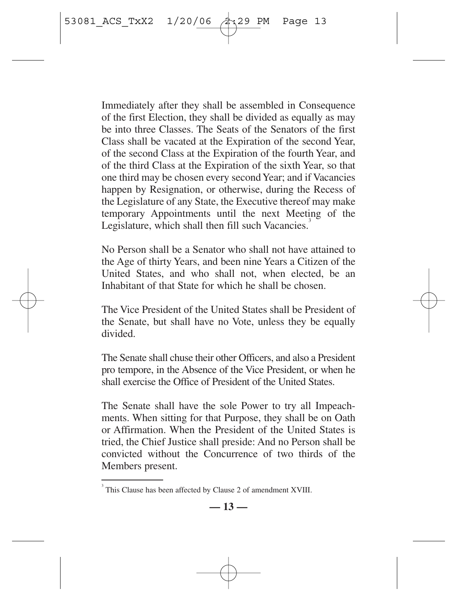Immediately after they shall be assembled in Consequence of the first Election, they shall be divided as equally as may be into three Classes. The Seats of the Senators of the first Class shall be vacated at the Expiration of the second Year, of the second Class at the Expiration of the fourth Year, and of the third Class at the Expiration of the sixth Year, so that one third may be chosen every second Year; and if Vacancies happen by Resignation, or otherwise, during the Recess of the Legislature of any State, the Executive thereof may make temporary Appointments until the next Meeting of the Legislature, which shall then fill such Vacancies.<sup>3</sup>

No Person shall be a Senator who shall not have attained to the Age of thirty Years, and been nine Years a Citizen of the United States, and who shall not, when elected, be an Inhabitant of that State for which he shall be chosen.

The Vice President of the United States shall be President of the Senate, but shall have no Vote, unless they be equally divided.

The Senate shall chuse their other Officers, and also a President pro tempore, in the Absence of the Vice President, or when he shall exercise the Office of President of the United States.

The Senate shall have the sole Power to try all Impeachments. When sitting for that Purpose, they shall be on Oath or Affirmation. When the President of the United States is tried, the Chief Justice shall preside: And no Person shall be convicted without the Concurrence of two thirds of the Members present.

<sup>&</sup>lt;sup>3</sup> This Clause has been affected by Clause 2 of amendment XVIII.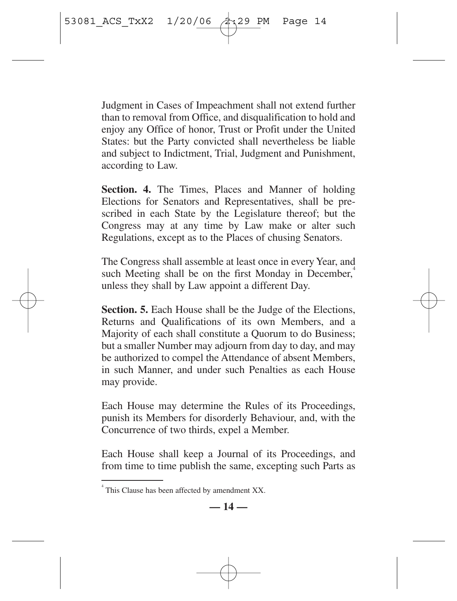Judgment in Cases of Impeachment shall not extend further than to removal from Office, and disqualification to hold and enjoy any Office of honor, Trust or Profit under the United States: but the Party convicted shall nevertheless be liable and subject to Indictment, Trial, Judgment and Punishment, according to Law.

**Section. 4.** The Times, Places and Manner of holding Elections for Senators and Representatives, shall be prescribed in each State by the Legislature thereof; but the Congress may at any time by Law make or alter such Regulations, except as to the Places of chusing Senators.

The Congress shall assemble at least once in every Year, and such Meeting shall be on the first Monday in December.<sup>4</sup> unless they shall by Law appoint a different Day.

**Section. 5.** Each House shall be the Judge of the Elections, Returns and Qualifications of its own Members, and a Majority of each shall constitute a Quorum to do Business; but a smaller Number may adjourn from day to day, and may be authorized to compel the Attendance of absent Members, in such Manner, and under such Penalties as each House may provide.

Each House may determine the Rules of its Proceedings, punish its Members for disorderly Behaviour, and, with the Concurrence of two thirds, expel a Member.

Each House shall keep a Journal of its Proceedings, and from time to time publish the same, excepting such Parts as

<sup>4</sup> This Clause has been affected by amendment XX.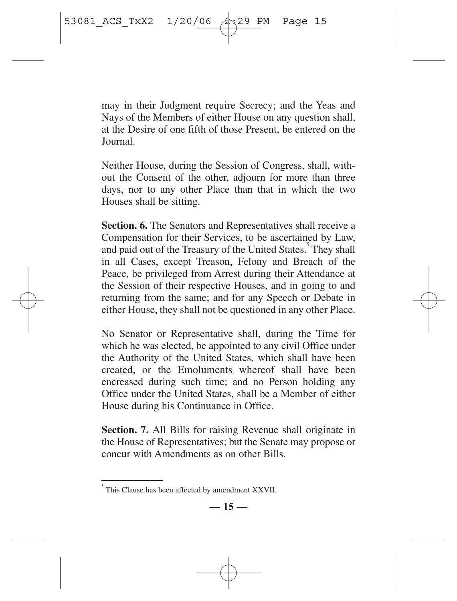may in their Judgment require Secrecy; and the Yeas and Nays of the Members of either House on any question shall, at the Desire of one fifth of those Present, be entered on the Journal.

Neither House, during the Session of Congress, shall, without the Consent of the other, adjourn for more than three days, nor to any other Place than that in which the two Houses shall be sitting.

Section. 6. The Senators and Representatives shall receive a Compensation for their Services, to be ascertained by Law, and paid out of the Treasury of the United States.<sup>5</sup> They shall in all Cases, except Treason, Felony and Breach of the Peace, be privileged from Arrest during their Attendance at the Session of their respective Houses, and in going to and returning from the same; and for any Speech or Debate in either House, they shall not be questioned in any other Place.

No Senator or Representative shall, during the Time for which he was elected, be appointed to any civil Office under the Authority of the United States, which shall have been created, or the Emoluments whereof shall have been encreased during such time; and no Person holding any Office under the United States, shall be a Member of either House during his Continuance in Office.

**Section. 7.** All Bills for raising Revenue shall originate in the House of Representatives; but the Senate may propose or concur with Amendments as on other Bills.

<sup>5</sup> This Clause has been affected by amendment XXVII.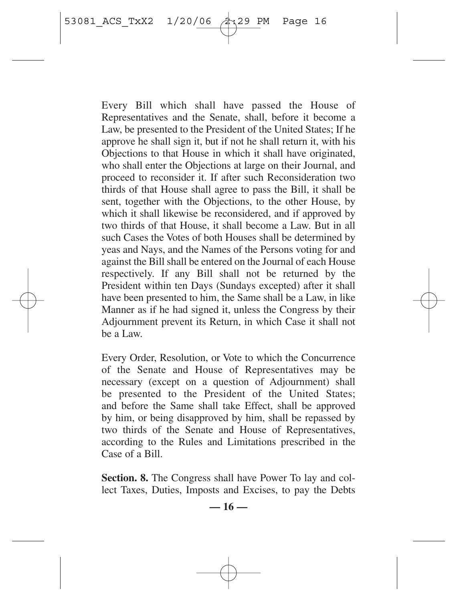Every Bill which shall have passed the House of Representatives and the Senate, shall, before it become a Law, be presented to the President of the United States; If he approve he shall sign it, but if not he shall return it, with his Objections to that House in which it shall have originated, who shall enter the Objections at large on their Journal, and proceed to reconsider it. If after such Reconsideration two thirds of that House shall agree to pass the Bill, it shall be sent, together with the Objections, to the other House, by which it shall likewise be reconsidered, and if approved by two thirds of that House, it shall become a Law. But in all such Cases the Votes of both Houses shall be determined by yeas and Nays, and the Names of the Persons voting for and against the Bill shall be entered on the Journal of each House respectively. If any Bill shall not be returned by the President within ten Days (Sundays excepted) after it shall have been presented to him, the Same shall be a Law, in like Manner as if he had signed it, unless the Congress by their Adjournment prevent its Return, in which Case it shall not be a Law.

Every Order, Resolution, or Vote to which the Concurrence of the Senate and House of Representatives may be necessary (except on a question of Adjournment) shall be presented to the President of the United States; and before the Same shall take Effect, shall be approved by him, or being disapproved by him, shall be repassed by two thirds of the Senate and House of Representatives, according to the Rules and Limitations prescribed in the Case of a Bill.

**Section. 8.** The Congress shall have Power To lay and collect Taxes, Duties, Imposts and Excises, to pay the Debts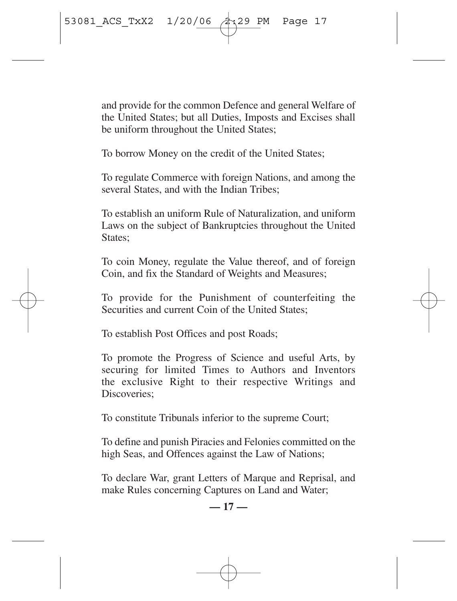and provide for the common Defence and general Welfare of the United States; but all Duties, Imposts and Excises shall be uniform throughout the United States;

To borrow Money on the credit of the United States;

To regulate Commerce with foreign Nations, and among the several States, and with the Indian Tribes;

To establish an uniform Rule of Naturalization, and uniform Laws on the subject of Bankruptcies throughout the United States;

To coin Money, regulate the Value thereof, and of foreign Coin, and fix the Standard of Weights and Measures;

To provide for the Punishment of counterfeiting the Securities and current Coin of the United States;

To establish Post Offices and post Roads;

To promote the Progress of Science and useful Arts, by securing for limited Times to Authors and Inventors the exclusive Right to their respective Writings and Discoveries;

To constitute Tribunals inferior to the supreme Court;

To define and punish Piracies and Felonies committed on the high Seas, and Offences against the Law of Nations;

To declare War, grant Letters of Marque and Reprisal, and make Rules concerning Captures on Land and Water;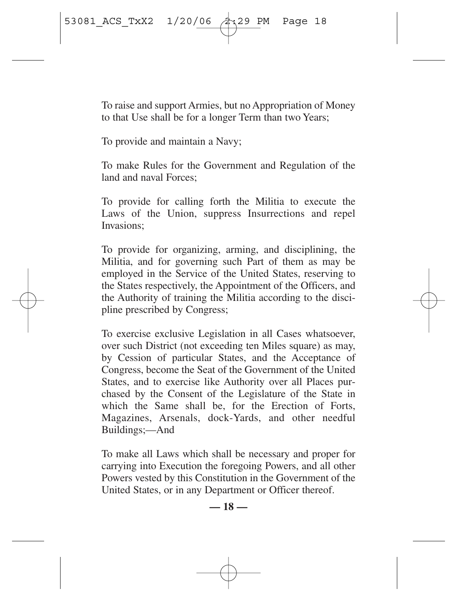To raise and support Armies, but no Appropriation of Money to that Use shall be for a longer Term than two Years;

To provide and maintain a Navy;

To make Rules for the Government and Regulation of the land and naval Forces;

To provide for calling forth the Militia to execute the Laws of the Union, suppress Insurrections and repel Invasions;

To provide for organizing, arming, and disciplining, the Militia, and for governing such Part of them as may be employed in the Service of the United States, reserving to the States respectively, the Appointment of the Officers, and the Authority of training the Militia according to the discipline prescribed by Congress;

To exercise exclusive Legislation in all Cases whatsoever, over such District (not exceeding ten Miles square) as may, by Cession of particular States, and the Acceptance of Congress, become the Seat of the Government of the United States, and to exercise like Authority over all Places purchased by the Consent of the Legislature of the State in which the Same shall be, for the Erection of Forts, Magazines, Arsenals, dock-Yards, and other needful Buildings;—And

To make all Laws which shall be necessary and proper for carrying into Execution the foregoing Powers, and all other Powers vested by this Constitution in the Government of the United States, or in any Department or Officer thereof.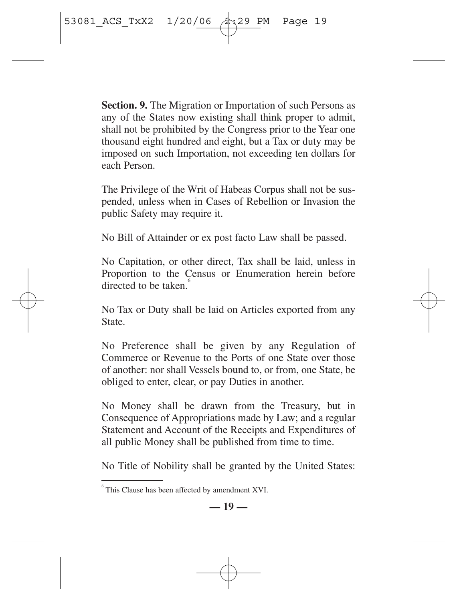**Section. 9.** The Migration or Importation of such Persons as any of the States now existing shall think proper to admit, shall not be prohibited by the Congress prior to the Year one thousand eight hundred and eight, but a Tax or duty may be imposed on such Importation, not exceeding ten dollars for each Person.

The Privilege of the Writ of Habeas Corpus shall not be suspended, unless when in Cases of Rebellion or Invasion the public Safety may require it.

No Bill of Attainder or ex post facto Law shall be passed.

No Capitation, or other direct, Tax shall be laid, unless in Proportion to the Census or Enumeration herein before directed to be taken.<sup>6</sup>

No Tax or Duty shall be laid on Articles exported from any State.

No Preference shall be given by any Regulation of Commerce or Revenue to the Ports of one State over those of another: nor shall Vessels bound to, or from, one State, be obliged to enter, clear, or pay Duties in another.

No Money shall be drawn from the Treasury, but in Consequence of Appropriations made by Law; and a regular Statement and Account of the Receipts and Expenditures of all public Money shall be published from time to time.

No Title of Nobility shall be granted by the United States:

<sup>6</sup> This Clause has been affected by amendment XVI.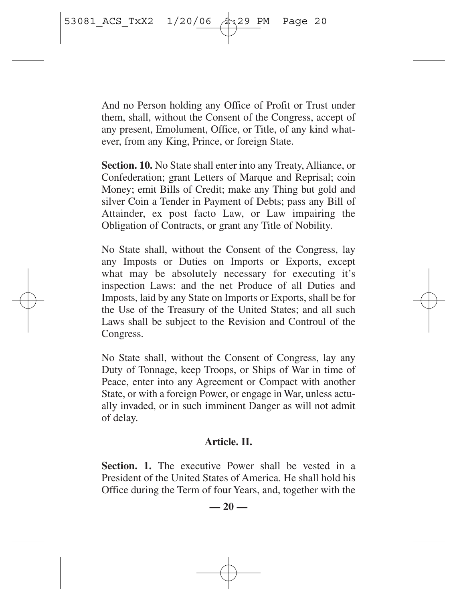And no Person holding any Office of Profit or Trust under them, shall, without the Consent of the Congress, accept of any present, Emolument, Office, or Title, of any kind whatever, from any King, Prince, or foreign State.

**Section. 10.** No State shall enter into any Treaty, Alliance, or Confederation; grant Letters of Marque and Reprisal; coin Money; emit Bills of Credit; make any Thing but gold and silver Coin a Tender in Payment of Debts; pass any Bill of Attainder, ex post facto Law, or Law impairing the Obligation of Contracts, or grant any Title of Nobility.

No State shall, without the Consent of the Congress, lay any Imposts or Duties on Imports or Exports, except what may be absolutely necessary for executing it's inspection Laws: and the net Produce of all Duties and Imposts, laid by any State on Imports or Exports, shall be for the Use of the Treasury of the United States; and all such Laws shall be subject to the Revision and Controul of the Congress.

No State shall, without the Consent of Congress, lay any Duty of Tonnage, keep Troops, or Ships of War in time of Peace, enter into any Agreement or Compact with another State, or with a foreign Power, or engage in War, unless actually invaded, or in such imminent Danger as will not admit of delay.

#### **Article. II.**

Section. 1. The executive Power shall be vested in a President of the United States of America. He shall hold his Office during the Term of four Years, and, together with the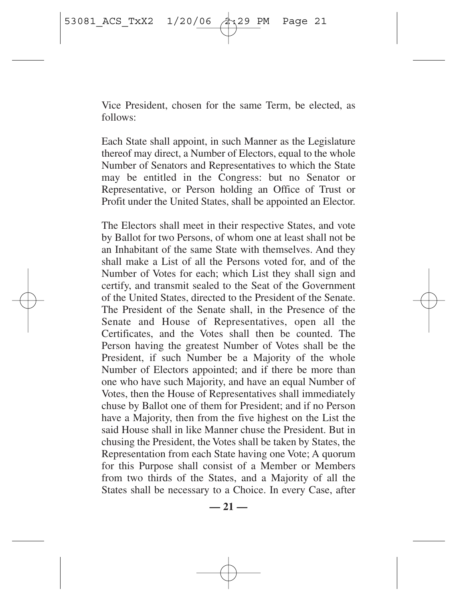Vice President, chosen for the same Term, be elected, as follows:

Each State shall appoint, in such Manner as the Legislature thereof may direct, a Number of Electors, equal to the whole Number of Senators and Representatives to which the State may be entitled in the Congress: but no Senator or Representative, or Person holding an Office of Trust or Profit under the United States, shall be appointed an Elector.

The Electors shall meet in their respective States, and vote by Ballot for two Persons, of whom one at least shall not be an Inhabitant of the same State with themselves. And they shall make a List of all the Persons voted for, and of the Number of Votes for each; which List they shall sign and certify, and transmit sealed to the Seat of the Government of the United States, directed to the President of the Senate. The President of the Senate shall, in the Presence of the Senate and House of Representatives, open all the Certificates, and the Votes shall then be counted. The Person having the greatest Number of Votes shall be the President, if such Number be a Majority of the whole Number of Electors appointed; and if there be more than one who have such Majority, and have an equal Number of Votes, then the House of Representatives shall immediately chuse by Ballot one of them for President; and if no Person have a Majority, then from the five highest on the List the said House shall in like Manner chuse the President. But in chusing the President, the Votes shall be taken by States, the Representation from each State having one Vote; A quorum for this Purpose shall consist of a Member or Members from two thirds of the States, and a Majority of all the States shall be necessary to a Choice. In every Case, after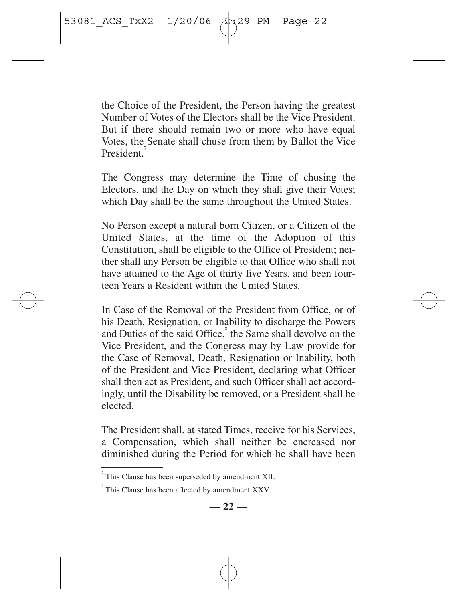the Choice of the President, the Person having the greatest Number of Votes of the Electors shall be the Vice President. But if there should remain two or more who have equal Votes, the Senate shall chuse from them by Ballot the Vice President.<sup>7</sup>

The Congress may determine the Time of chusing the Electors, and the Day on which they shall give their Votes; which Day shall be the same throughout the United States.

No Person except a natural born Citizen, or a Citizen of the United States, at the time of the Adoption of this Constitution, shall be eligible to the Office of President; neither shall any Person be eligible to that Office who shall not have attained to the Age of thirty five Years, and been fourteen Years a Resident within the United States.

In Case of the Removal of the President from Office, or of his Death, Resignation, or Inability to discharge the Powers and Duties of the said Office,<sup>8</sup> the Same shall devolve on the Vice President, and the Congress may by Law provide for the Case of Removal, Death, Resignation or Inability, both of the President and Vice President, declaring what Officer shall then act as President, and such Officer shall act accordingly, until the Disability be removed, or a President shall be elected.

The President shall, at stated Times, receive for his Services, a Compensation, which shall neither be encreased nor diminished during the Period for which he shall have been

<sup>7</sup> This Clause has been superseded by amendment XII.

<sup>8</sup> This Clause has been affected by amendment XXV.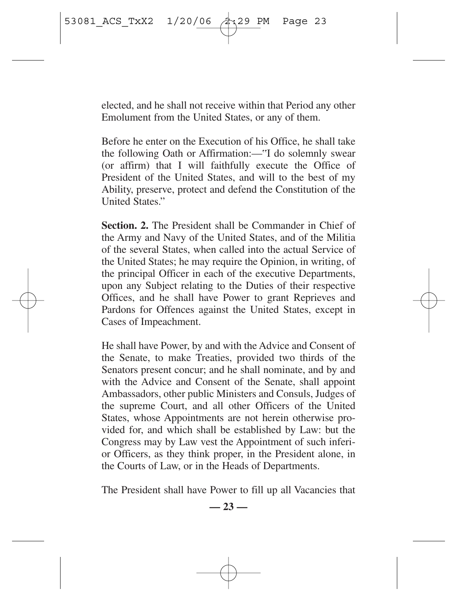elected, and he shall not receive within that Period any other Emolument from the United States, or any of them.

Before he enter on the Execution of his Office, he shall take the following Oath or Affirmation:—"I do solemnly swear " (or affirm) that I will faithfully execute the Office of President of the United States, and will to the best of my Ability, preserve, protect and defend the Constitution of the United States."

**Section. 2.** The President shall be Commander in Chief of the Army and Navy of the United States, and of the Militia of the several States, when called into the actual Service of the United States; he may require the Opinion, in writing, of the principal Officer in each of the executive Departments, upon any Subject relating to the Duties of their respective Offices, and he shall have Power to grant Reprieves and Pardons for Offences against the United States, except in Cases of Impeachment.

He shall have Power, by and with the Advice and Consent of the Senate, to make Treaties, provided two thirds of the Senators present concur; and he shall nominate, and by and with the Advice and Consent of the Senate, shall appoint Ambassadors, other public Ministers and Consuls, Judges of the supreme Court, and all other Officers of the United States, whose Appointments are not herein otherwise provided for, and which shall be established by Law: but the Congress may by Law vest the Appointment of such inferior Officers, as they think proper, in the President alone, in the Courts of Law, or in the Heads of Departments.

The President shall have Power to fill up all Vacancies that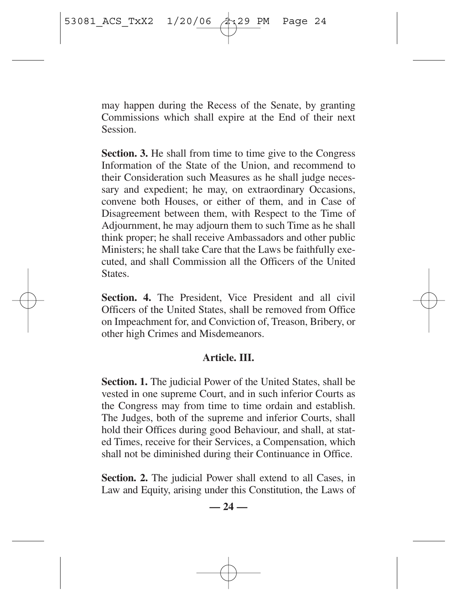may happen during the Recess of the Senate, by granting Commissions which shall expire at the End of their next Session.

**Section. 3.** He shall from time to time give to the Congress Information of the State of the Union, and recommend to their Consideration such Measures as he shall judge necessary and expedient; he may, on extraordinary Occasions, convene both Houses, or either of them, and in Case of Disagreement between them, with Respect to the Time of Adjournment, he may adjourn them to such Time as he shall think proper; he shall receive Ambassadors and other public Ministers; he shall take Care that the Laws be faithfully executed, and shall Commission all the Officers of the United States.

**Section. 4.** The President, Vice President and all civil Officers of the United States, shall be removed from Office on Impeachment for, and Conviction of, Treason, Bribery, or other high Crimes and Misdemeanors.

# **Article. III.**

Section. 1. The judicial Power of the United States, shall be vested in one supreme Court, and in such inferior Courts as the Congress may from time to time ordain and establish. The Judges, both of the supreme and inferior Courts, shall hold their Offices during good Behaviour, and shall, at stated Times, receive for their Services, a Compensation, which shall not be diminished during their Continuance in Office.

Section. 2. The judicial Power shall extend to all Cases, in Law and Equity, arising under this Constitution, the Laws of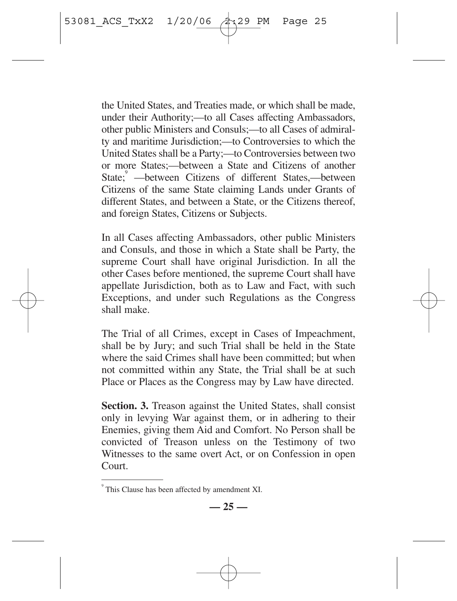the United States, and Treaties made, or which shall be made, under their Authority;—to all Cases affecting Ambassadors, other public Ministers and Consuls;—to all Cases of admiralty and maritime Jurisdiction;—to Controversies to which the United States shall be a Party;—to Controversies between two or more States;—between a State and Citizens of another State; <sup>9</sup> —between Citizens of different States,—between Citizens of the same State claiming Lands under Grants of different States, and between a State, or the Citizens thereof, and foreign States, Citizens or Subjects.

In all Cases affecting Ambassadors, other public Ministers and Consuls, and those in which a State shall be Party, the supreme Court shall have original Jurisdiction. In all the other Cases before mentioned, the supreme Court shall have appellate Jurisdiction, both as to Law and Fact, with such Exceptions, and under such Regulations as the Congress shall make.

The Trial of all Crimes, except in Cases of Impeachment, shall be by Jury; and such Trial shall be held in the State where the said Crimes shall have been committed; but when not committed within any State, the Trial shall be at such Place or Places as the Congress may by Law have directed.

**Section. 3.** Treason against the United States, shall consist only in levying War against them, or in adhering to their Enemies, giving them Aid and Comfort. No Person shall be convicted of Treason unless on the Testimony of two Witnesses to the same overt Act, or on Confession in open Court.

<sup>9</sup> This Clause has been affected by amendment XI.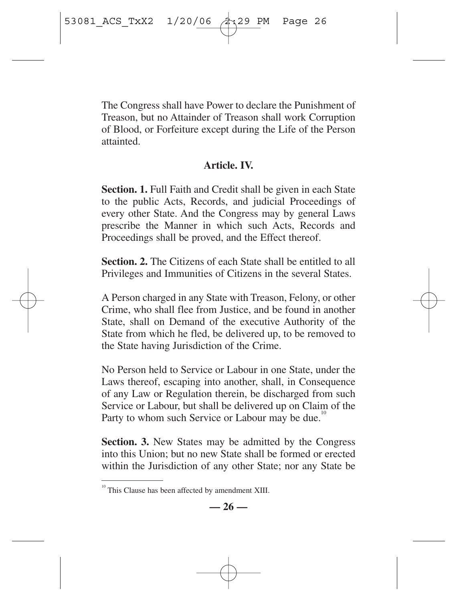The Congress shall have Power to declare the Punishment of Treason, but no Attainder of Treason shall work Corruption of Blood, or Forfeiture except during the Life of the Person attainted.

# **Article. IV.**

**Section. 1.** Full Faith and Credit shall be given in each State to the public Acts, Records, and judicial Proceedings of every other State. And the Congress may by general Laws prescribe the Manner in which such Acts, Records and Proceedings shall be proved, and the Effect thereof.

**Section. 2.** The Citizens of each State shall be entitled to all Privileges and Immunities of Citizens in the several States.

A Person charged in any State with Treason, Felony, or other Crime, who shall flee from Justice, and be found in another State, shall on Demand of the executive Authority of the State from which he fled, be delivered up, to be removed to the State having Jurisdiction of the Crime.

No Person held to Service or Labour in one State, under the Laws thereof, escaping into another, shall, in Consequence of any Law or Regulation therein, be discharged from such Service or Labour, but shall be delivered up on Claim of the Party to whom such Service or Labour may be due.<sup>11</sup>

**Section. 3.** New States may be admitted by the Congress into this Union; but no new State shall be formed or erected within the Jurisdiction of any other State; nor any State be

<sup>&</sup>lt;sup>10</sup> This Clause has been affected by amendment XIII.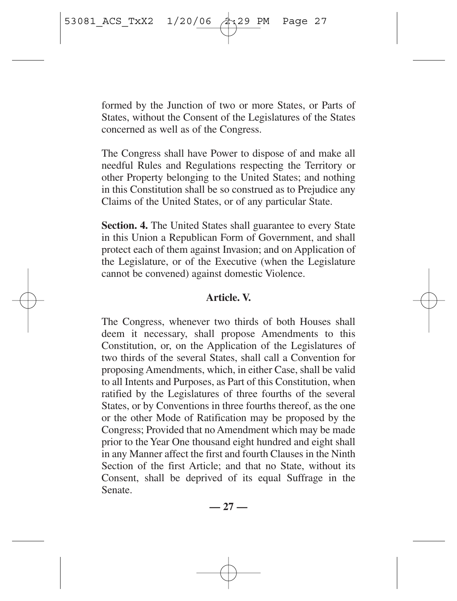formed by the Junction of two or more States, or Parts of States, without the Consent of the Legislatures of the States concerned as well as of the Congress.

The Congress shall have Power to dispose of and make all needful Rules and Regulations respecting the Territory or other Property belonging to the United States; and nothing in this Constitution shall be so construed as to Prejudice any Claims of the United States, or of any particular State.

Section. 4. The United States shall guarantee to every State in this Union a Republican Form of Government, and shall protect each of them against Invasion; and on Application of the Legislature, or of the Executive (when the Legislature cannot be convened) against domestic Violence.

# **Article. V.**

The Congress, whenever two thirds of both Houses shall deem it necessary, shall propose Amendments to this Constitution, or, on the Application of the Legislatures of two thirds of the several States, shall call a Convention for proposing Amendments, which, in either Case, shall be valid to all Intents and Purposes, as Part of this Constitution, when ratified by the Legislatures of three fourths of the several States, or by Conventions in three fourths thereof, as the one or the other Mode of Ratification may be proposed by the Congress; Provided that no Amendment which may be made prior to the Year One thousand eight hundred and eight shall in any Manner affect the first and fourth Clauses in the Ninth Section of the first Article; and that no State, without its Consent, shall be deprived of its equal Suffrage in the Senate.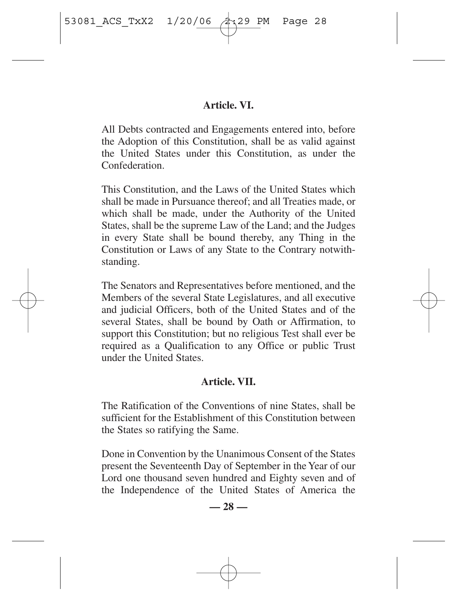# **Article. VI.**

All Debts contracted and Engagements entered into, before the Adoption of this Constitution, shall be as valid against the United States under this Constitution, as under the Confederation.

This Constitution, and the Laws of the United States which shall be made in Pursuance thereof; and all Treaties made, or which shall be made, under the Authority of the United States, shall be the supreme Law of the Land; and the Judges in every State shall be bound thereby, any Thing in the Constitution or Laws of any State to the Contrary notwithstanding.

The Senators and Representatives before mentioned, and the Members of the several State Legislatures, and all executive and judicial Officers, both of the United States and of the several States, shall be bound by Oath or Affirmation, to support this Constitution; but no religious Test shall ever be required as a Qualification to any Office or public Trust under the United States.

# **Article. VII.**

The Ratification of the Conventions of nine States, shall be sufficient for the Establishment of this Constitution between the States so ratifying the Same.

Done in Convention by the Unanimous Consent of the States present the Seventeenth Day of September in the Year of our Lord one thousand seven hundred and Eighty seven and of the Independence of the United States of America the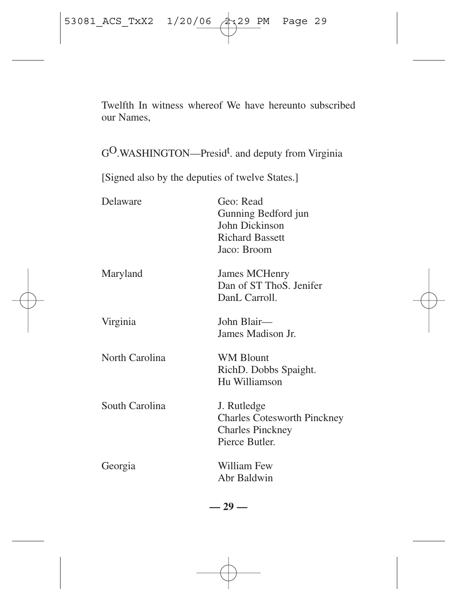Twelfth In witness whereof We have hereunto subscribed our Names,

G<sup>O</sup>.WASHINGTON—Presid<sup>t</sup>. and deputy from Virginia

[Signed also by the deputies of twelve States.]

| Delaware       | Geo: Read<br>Gunning Bedford jun<br>John Dickinson<br><b>Richard Bassett</b><br>Jaco: Broom    |
|----------------|------------------------------------------------------------------------------------------------|
| Maryland       | James MCHenry<br>Dan of ST ThoS. Jenifer<br>DanL Carroll.                                      |
| Virginia       | John Blair-<br>James Madison Jr.                                                               |
| North Carolina | <b>WM Blount</b><br>RichD. Dobbs Spaight.<br>Hu Williamson                                     |
| South Carolina | J. Rutledge<br><b>Charles Cotesworth Pinckney</b><br><b>Charles Pinckney</b><br>Pierce Butler. |
| Georgia        | William Few<br>Abr Baldwin                                                                     |

**— 29 —**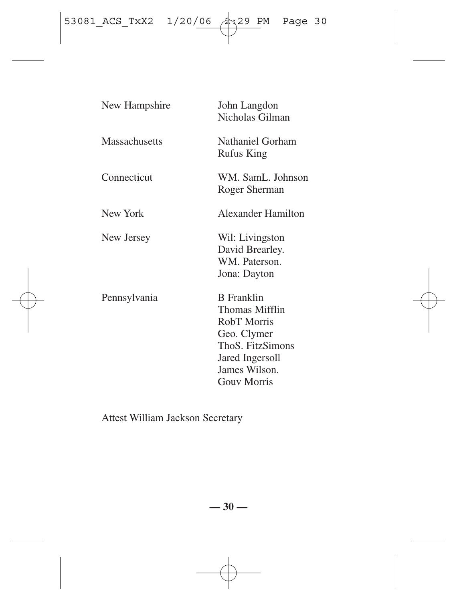| New Hampshire | John Langdon<br>Nicholas Gilman                                                                                                                 |
|---------------|-------------------------------------------------------------------------------------------------------------------------------------------------|
| Massachusetts | Nathaniel Gorham<br>Rufus King                                                                                                                  |
| Connecticut   | WM. SamL. Johnson<br>Roger Sherman                                                                                                              |
| New York      | Alexander Hamilton                                                                                                                              |
| New Jersey    | Wil: Livingston<br>David Brearley.<br>WM. Paterson.<br>Jona: Dayton                                                                             |
| Pennsylvania  | <b>B</b> Franklin<br>Thomas Mifflin<br>RobT Morris<br>Geo. Clymer<br>ThoS. FitzSimons<br>Jared Ingersoll<br>James Wilson.<br><b>GOUV MOTTIS</b> |

Attest William Jackson Secretary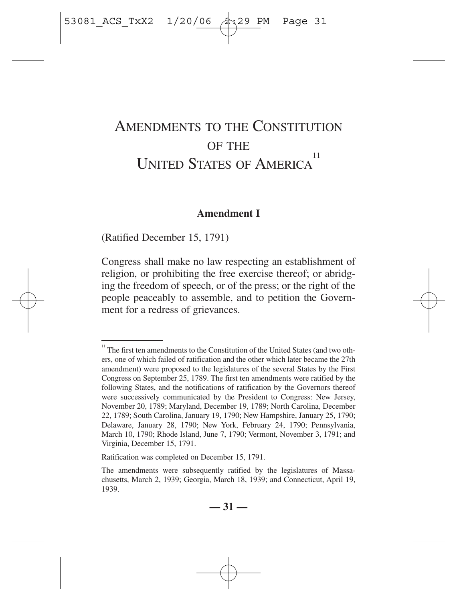# AMENDMENTS TO THE CONSTITUTION OF THE UNITED STATES OF AMERICA<sup>11</sup>

#### **Amendment I**

(Ratified December 15, 1791)

Congress shall make no law respecting an establishment of religion, or prohibiting the free exercise thereof; or abridging the freedom of speech, or of the press; or the right of the people peaceably to assemble, and to petition the Government for a redress of grievances.

<sup>&</sup>lt;sup>11</sup> The first ten amendments to the Constitution of the United States (and two others, one of which failed of ratification and the other which later became the 27th amendment) were proposed to the legislatures of the several States by the First Congress on September 25, 1789. The first ten amendments were ratified by the following States, and the notifications of ratification by the Governors thereof were successively communicated by the President to Congress: New Jersey, November 20, 1789; Maryland, December 19, 1789; North Carolina, December 22, 1789; South Carolina, January 19, 1790; New Hampshire, January 25, 1790; Delaware, January 28, 1790; New York, February 24, 1790; Pennsylvania, March 10, 1790; Rhode Island, June 7, 1790; Vermont, November 3, 1791; and Virginia, December 15, 1791.

Ratification was completed on December 15, 1791.

The amendments were subsequently ratified by the legislatures of Massachusetts, March 2, 1939; Georgia, March 18, 1939; and Connecticut, April 19, 1939.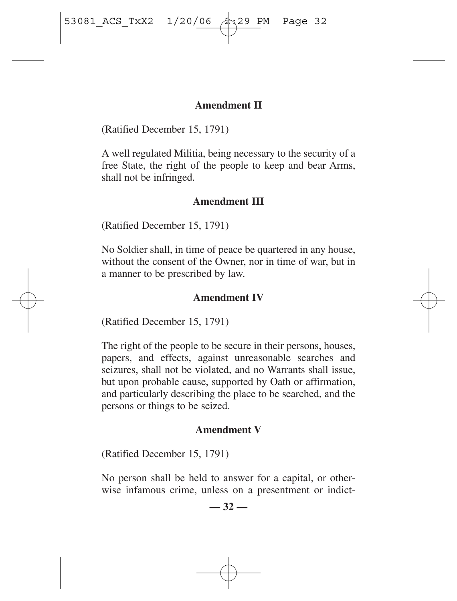#### **Amendment II**

(Ratified December 15, 1791)

A well regulated Militia, being necessary to the security of a free State, the right of the people to keep and bear Arms, shall not be infringed.

#### **Amendment III**

(Ratified December 15, 1791)

No Soldier shall, in time of peace be quartered in any house, without the consent of the Owner, nor in time of war, but in a manner to be prescribed by law.

#### **Amendment IV**

(Ratified December 15, 1791)

The right of the people to be secure in their persons, houses, papers, and effects, against unreasonable searches and seizures, shall not be violated, and no Warrants shall issue, but upon probable cause, supported by Oath or affirmation, and particularly describing the place to be searched, and the persons or things to be seized.

#### **Amendment V**

(Ratified December 15, 1791)

No person shall be held to answer for a capital, or otherwise infamous crime, unless on a presentment or indict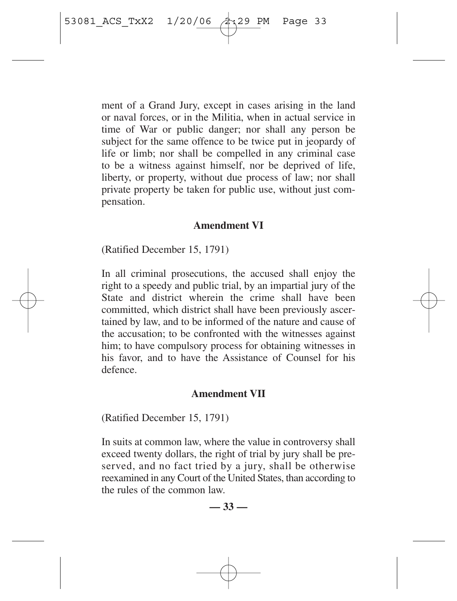ment of a Grand Jury, except in cases arising in the land or naval forces, or in the Militia, when in actual service in time of War or public danger; nor shall any person be subject for the same offence to be twice put in jeopardy of life or limb; nor shall be compelled in any criminal case to be a witness against himself, nor be deprived of life, liberty, or property, without due process of law; nor shall private property be taken for public use, without just compensation.

#### **Amendment VI**

(Ratified December 15, 1791)

In all criminal prosecutions, the accused shall enjoy the right to a speedy and public trial, by an impartial jury of the State and district wherein the crime shall have been committed, which district shall have been previously ascertained by law, and to be informed of the nature and cause of the accusation; to be confronted with the witnesses against him; to have compulsory process for obtaining witnesses in his favor, and to have the Assistance of Counsel for his defence.

#### **Amendment VII**

(Ratified December 15, 1791)

In suits at common law, where the value in controversy shall exceed twenty dollars, the right of trial by jury shall be preserved, and no fact tried by a jury, shall be otherwise reexamined in any Court of the United States, than according to the rules of the common law.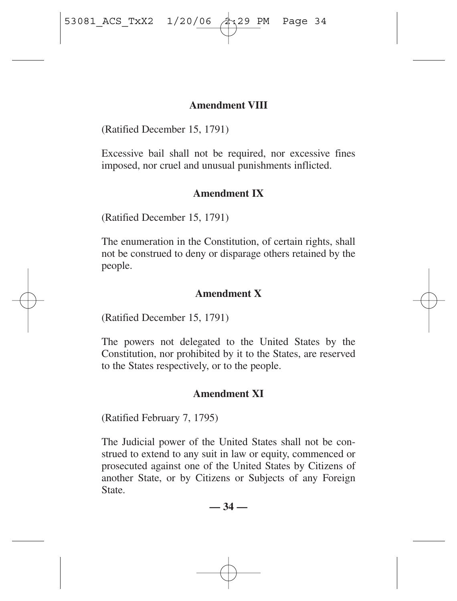### **Amendment VIII**

(Ratified December 15, 1791)

Excessive bail shall not be required, nor excessive fines imposed, nor cruel and unusual punishments inflicted.

### **Amendment IX**

(Ratified December 15, 1791)

The enumeration in the Constitution, of certain rights, shall not be construed to deny or disparage others retained by the people.

#### **Amendment X**

(Ratified December 15, 1791)

The powers not delegated to the United States by the Constitution, nor prohibited by it to the States, are reserved to the States respectively, or to the people.

# **Amendment XI**

(Ratified February 7, 1795)

The Judicial power of the United States shall not be construed to extend to any suit in law or equity, commenced or prosecuted against one of the United States by Citizens of another State, or by Citizens or Subjects of any Foreign State.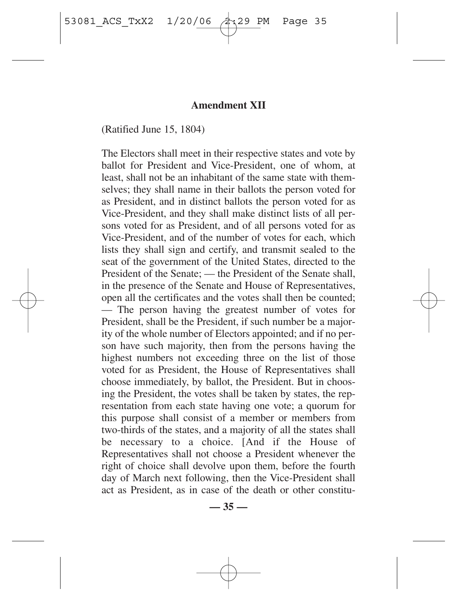#### **Amendment XII**

(Ratified June 15, 1804)

The Electors shall meet in their respective states and vote by ballot for President and Vice-President, one of whom, at least, shall not be an inhabitant of the same state with themselves; they shall name in their ballots the person voted for as President, and in distinct ballots the person voted for as Vice-President, and they shall make distinct lists of all persons voted for as President, and of all persons voted for as Vice-President, and of the number of votes for each, which lists they shall sign and certify, and transmit sealed to the seat of the government of the United States, directed to the President of the Senate; — the President of the Senate shall, in the presence of the Senate and House of Representatives, open all the certificates and the votes shall then be counted; — The person having the greatest number of votes for President, shall be the President, if such number be a majority of the whole number of Electors appointed; and if no person have such majority, then from the persons having the highest numbers not exceeding three on the list of those voted for as President, the House of Representatives shall choose immediately, by ballot, the President. But in choosing the President, the votes shall be taken by states, the representation from each state having one vote; a quorum for this purpose shall consist of a member or members from two-thirds of the states, and a majority of all the states shall be necessary to a choice. [And if the House of Representatives shall not choose a President whenever the right of choice shall devolve upon them, before the fourth day of March next following, then the Vice-President shall act as President, as in case of the death or other constitu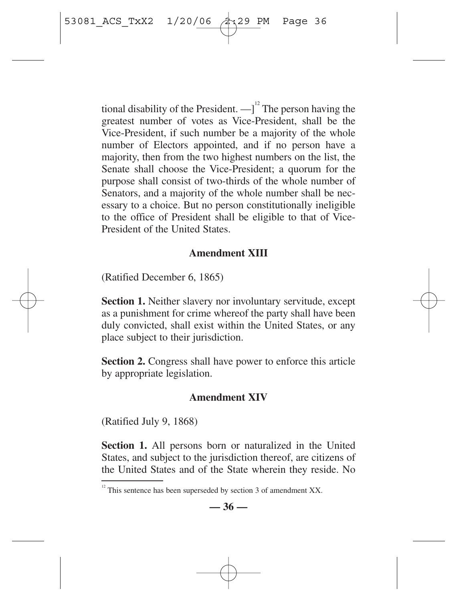tional disability of the President.  $-$ <sup>12</sup> The person having the greatest number of votes as Vice-President, shall be the Vice-President, if such number be a majority of the whole number of Electors appointed, and if no person have a majority, then from the two highest numbers on the list, the Senate shall choose the Vice-President; a quorum for the purpose shall consist of two-thirds of the whole number of Senators, and a majority of the whole number shall be necessary to a choice. But no person constitutionally ineligible to the office of President shall be eligible to that of Vice-President of the United States.

#### **Amendment XIII**

(Ratified December 6, 1865)

**Section 1.** Neither slavery nor involuntary servitude, except as a punishment for crime whereof the party shall have been duly convicted, shall exist within the United States, or any place subject to their jurisdiction.

**Section 2.** Congress shall have power to enforce this article by appropriate legislation.

### **Amendment XIV**

(Ratified July 9, 1868)

**Section 1.** All persons born or naturalized in the United States, and subject to the jurisdiction thereof, are citizens of the United States and of the State wherein they reside. No

 $12$ <sup>12</sup> This sentence has been superseded by section 3 of amendment XX.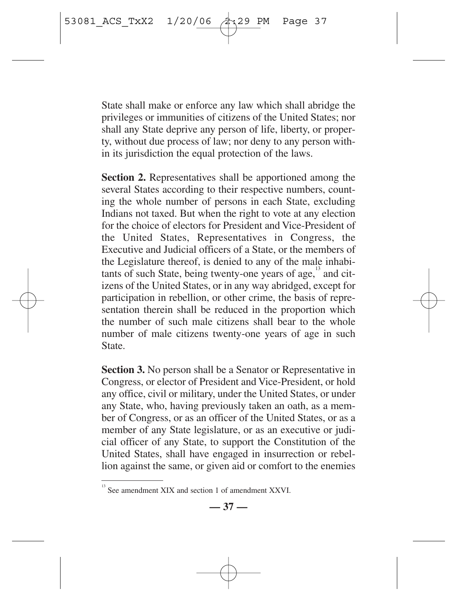State shall make or enforce any law which shall abridge the privileges or immunities of citizens of the United States; nor shall any State deprive any person of life, liberty, or property, without due process of law; nor deny to any person within its jurisdiction the equal protection of the laws.

**Section 2.** Representatives shall be apportioned among the several States according to their respective numbers, counting the whole number of persons in each State, excluding Indians not taxed. But when the right to vote at any election for the choice of electors for President and Vice-President of the United States, Representatives in Congress, the Executive and Judicial officers of a State, or the members of the Legislature thereof, is denied to any of the male inhabitants of such State, being twenty-one years of age, $\frac{13}{3}$  and citizens of the United States, or in any way abridged, except for participation in rebellion, or other crime, the basis of representation therein shall be reduced in the proportion which the number of such male citizens shall bear to the whole number of male citizens twenty-one years of age in such State.

**Section 3.** No person shall be a Senator or Representative in Congress, or elector of President and Vice-President, or hold any office, civil or military, under the United States, or under any State, who, having previously taken an oath, as a member of Congress, or as an officer of the United States, or as a member of any State legislature, or as an executive or judicial officer of any State, to support the Constitution of the United States, shall have engaged in insurrection or rebellion against the same, or given aid or comfort to the enemies

<sup>&</sup>lt;sup>13</sup> See amendment XIX and section 1 of amendment XXVI.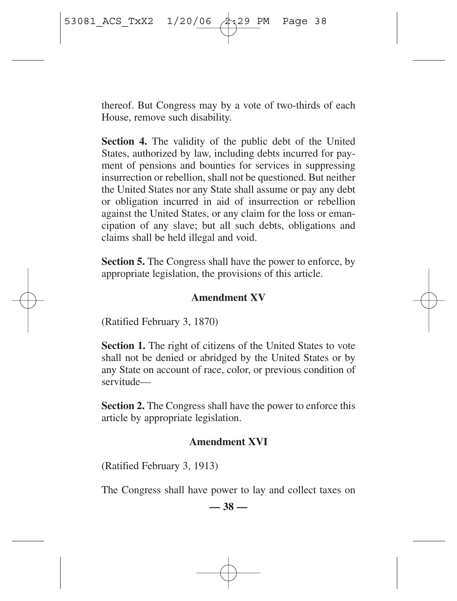thereof. But Congress may by a vote of two-thirds of each House, remove such disability.

**Section 4.** The validity of the public debt of the United States, authorized by law, including debts incurred for payment of pensions and bounties for services in suppressing insurrection or rebellion, shall not be questioned. But neither the United States nor any State shall assume or pay any debt or obligation incurred in aid of insurrection or rebellion against the United States, or any claim for the loss or emancipation of any slave; but all such debts, obligations and claims shall be held illegal and void.

**Section 5.** The Congress shall have the power to enforce, by appropriate legislation, the provisions of this article.

#### **Amendment XV**

(Ratified February 3, 1870)

Section 1. The right of citizens of the United States to vote shall not be denied or abridged by the United States or by any State on account of race, color, or previous condition of servitude—

**Section 2.** The Congress shall have the power to enforce this article by appropriate legislation.

# **Amendment XVI**

(Ratified February 3, 1913)

The Congress shall have power to lay and collect taxes on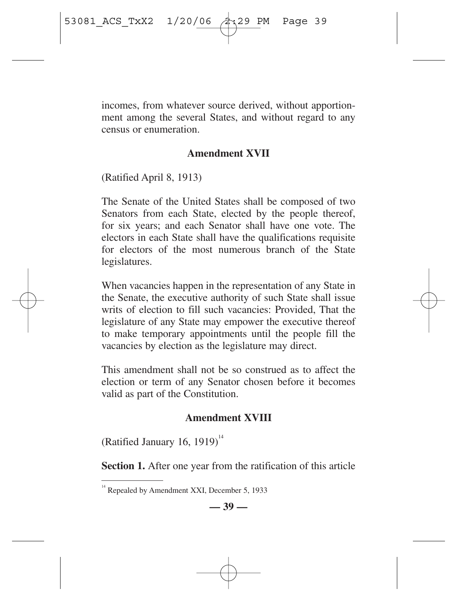incomes, from whatever source derived, without apportionment among the several States, and without regard to any census or enumeration.

# **Amendment XVII**

(Ratified April 8, 1913)

The Senate of the United States shall be composed of two Senators from each State, elected by the people thereof, for six years; and each Senator shall have one vote. The electors in each State shall have the qualifications requisite for electors of the most numerous branch of the State legislatures.

When vacancies happen in the representation of any State in the Senate, the executive authority of such State shall issue writs of election to fill such vacancies: Provided, That the legislature of any State may empower the executive thereof to make temporary appointments until the people fill the vacancies by election as the legislature may direct.

This amendment shall not be so construed as to affect the election or term of any Senator chosen before it becomes valid as part of the Constitution.

# **Amendment XVIII**

(Ratified January 16, 1919)<sup>14</sup>

**Section 1.** After one year from the ratification of this article

<sup>&</sup>lt;sup>14</sup> Repealed by Amendment XXI, December 5, 1933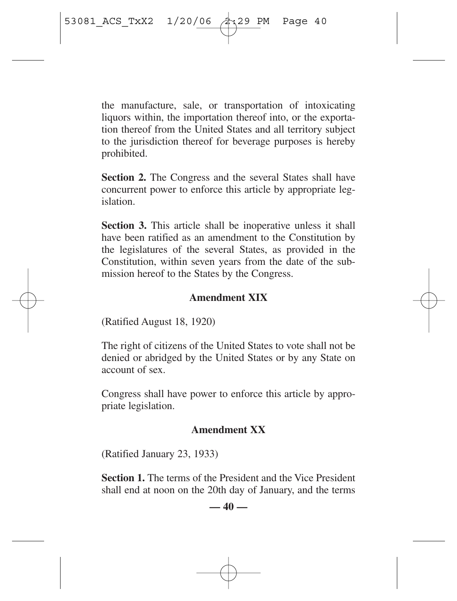the manufacture, sale, or transportation of intoxicating liquors within, the importation thereof into, or the exportation thereof from the United States and all territory subject to the jurisdiction thereof for beverage purposes is hereby prohibited.

Section 2. The Congress and the several States shall have concurrent power to enforce this article by appropriate legislation.

Section 3. This article shall be inoperative unless it shall have been ratified as an amendment to the Constitution by the legislatures of the several States, as provided in the Constitution, within seven years from the date of the submission hereof to the States by the Congress.

### **Amendment XIX**

(Ratified August 18, 1920)

The right of citizens of the United States to vote shall not be denied or abridged by the United States or by any State on account of sex.

Congress shall have power to enforce this article by appropriate legislation.

# **Amendment XX**

(Ratified January 23, 1933)

**Section 1.** The terms of the President and the Vice President shall end at noon on the 20th day of January, and the terms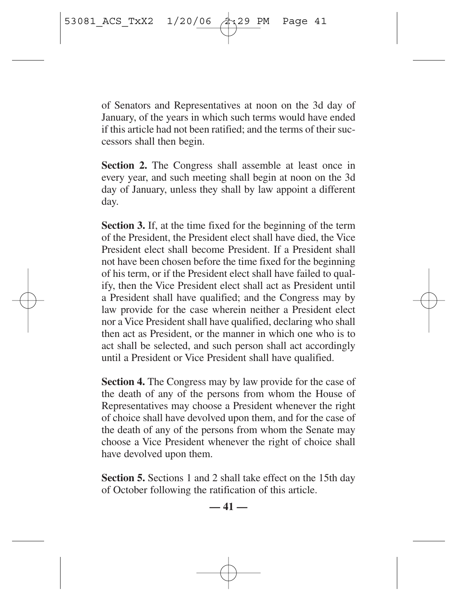of Senators and Representatives at noon on the 3d day of January, of the years in which such terms would have ended if this article had not been ratified; and the terms of their successors shall then begin.

Section 2. The Congress shall assemble at least once in every year, and such meeting shall begin at noon on the 3d day of January, unless they shall by law appoint a different day.

**Section 3.** If, at the time fixed for the beginning of the term of the President, the President elect shall have died, the Vice President elect shall become President. If a President shall not have been chosen before the time fixed for the beginning of his term, or if the President elect shall have failed to qualify, then the Vice President elect shall act as President until a President shall have qualified; and the Congress may by law provide for the case wherein neither a President elect nor a Vice President shall have qualified, declaring who shall then act as President, or the manner in which one who is to act shall be selected, and such person shall act accordingly until a President or Vice President shall have qualified.

**Section 4.** The Congress may by law provide for the case of the death of any of the persons from whom the House of Representatives may choose a President whenever the right of choice shall have devolved upon them, and for the case of the death of any of the persons from whom the Senate may choose a Vice President whenever the right of choice shall have devolved upon them.

**Section 5.** Sections 1 and 2 shall take effect on the 15th day of October following the ratification of this article.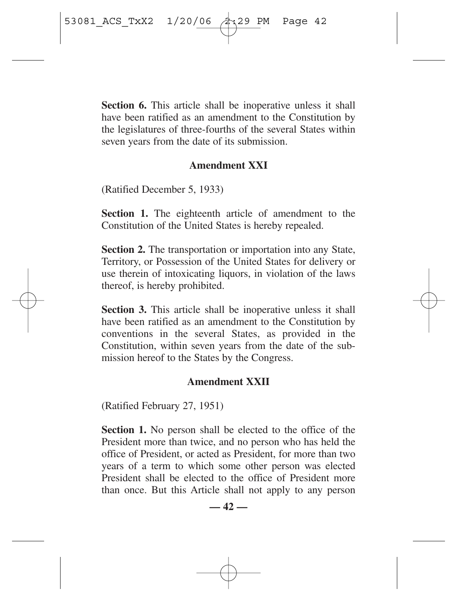Section 6. This article shall be inoperative unless it shall have been ratified as an amendment to the Constitution by the legislatures of three-fourths of the several States within seven years from the date of its submission.

#### **Amendment XXI**

(Ratified December 5, 1933)

Section 1. The eighteenth article of amendment to the Constitution of the United States is hereby repealed.

**Section 2.** The transportation or importation into any State, Territory, or Possession of the United States for delivery or use therein of intoxicating liquors, in violation of the laws thereof, is hereby prohibited.

Section 3. This article shall be inoperative unless it shall have been ratified as an amendment to the Constitution by conventions in the several States, as provided in the Constitution, within seven years from the date of the submission hereof to the States by the Congress.

#### **Amendment XXII**

(Ratified February 27, 1951)

**Section 1.** No person shall be elected to the office of the President more than twice, and no person who has held the office of President, or acted as President, for more than two years of a term to which some other person was elected President shall be elected to the office of President more than once. But this Article shall not apply to any person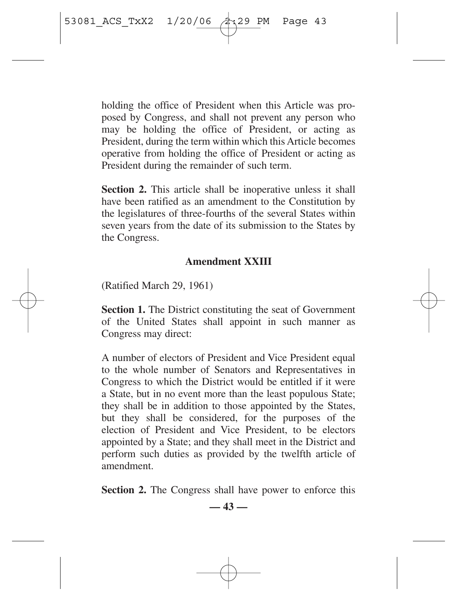holding the office of President when this Article was proposed by Congress, and shall not prevent any person who may be holding the office of President, or acting as President, during the term within which this Article becomes operative from holding the office of President or acting as President during the remainder of such term.

Section 2. This article shall be inoperative unless it shall have been ratified as an amendment to the Constitution by the legislatures of three-fourths of the several States within seven years from the date of its submission to the States by the Congress.

### **Amendment XXIII**

(Ratified March 29, 1961)

**Section 1.** The District constituting the seat of Government of the United States shall appoint in such manner as Congress may direct:

A number of electors of President and Vice President equal to the whole number of Senators and Representatives in Congress to which the District would be entitled if it were a State, but in no event more than the least populous State; they shall be in addition to those appointed by the States, but they shall be considered, for the purposes of the election of President and Vice President, to be electors appointed by a State; and they shall meet in the District and perform such duties as provided by the twelfth article of amendment.

**Section 2.** The Congress shall have power to enforce this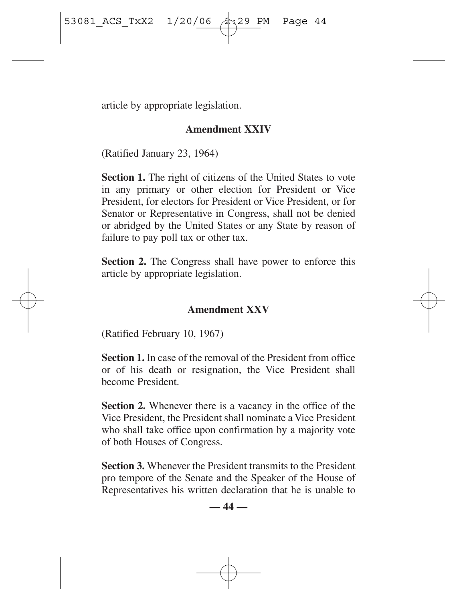article by appropriate legislation.

# **Amendment XXIV**

(Ratified January 23, 1964)

Section 1. The right of citizens of the United States to vote in any primary or other election for President or Vice President, for electors for President or Vice President, or for Senator or Representative in Congress, shall not be denied or abridged by the United States or any State by reason of failure to pay poll tax or other tax.

**Section 2.** The Congress shall have power to enforce this article by appropriate legislation.

# **Amendment XXV**

(Ratified February 10, 1967)

**Section 1.** In case of the removal of the President from office or of his death or resignation, the Vice President shall become President.

**Section 2.** Whenever there is a vacancy in the office of the Vice President, the President shall nominate a Vice President who shall take office upon confirmation by a majority vote of both Houses of Congress.

**Section 3.** Whenever the President transmits to the President pro tempore of the Senate and the Speaker of the House of Representatives his written declaration that he is unable to

**— 44 —**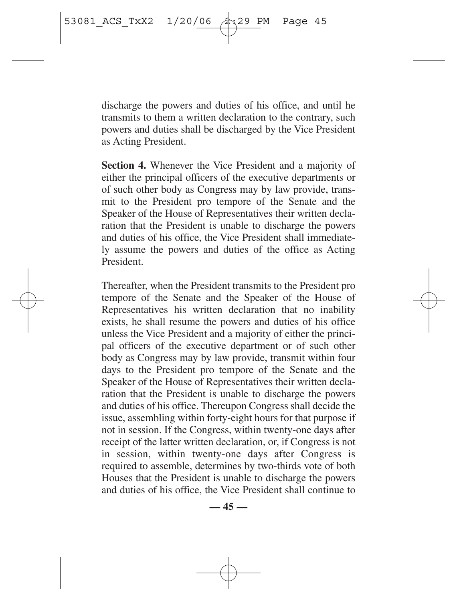discharge the powers and duties of his office, and until he transmits to them a written declaration to the contrary, such powers and duties shall be discharged by the Vice President as Acting President.

**Section 4.** Whenever the Vice President and a majority of either the principal officers of the executive departments or of such other body as Congress may by law provide, transmit to the President pro tempore of the Senate and the Speaker of the House of Representatives their written declaration that the President is unable to discharge the powers and duties of his office, the Vice President shall immediately assume the powers and duties of the office as Acting President.

Thereafter, when the President transmits to the President pro tempore of the Senate and the Speaker of the House of Representatives his written declaration that no inability exists, he shall resume the powers and duties of his office unless the Vice President and a majority of either the principal officers of the executive department or of such other body as Congress may by law provide, transmit within four days to the President pro tempore of the Senate and the Speaker of the House of Representatives their written declaration that the President is unable to discharge the powers and duties of his office. Thereupon Congress shall decide the issue, assembling within forty-eight hours for that purpose if not in session. If the Congress, within twenty-one days after receipt of the latter written declaration, or, if Congress is not in session, within twenty-one days after Congress is required to assemble, determines by two-thirds vote of both Houses that the President is unable to discharge the powers and duties of his office, the Vice President shall continue to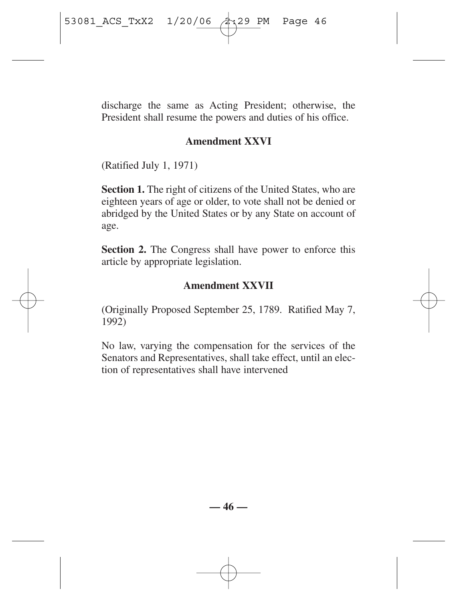discharge the same as Acting President; otherwise, the President shall resume the powers and duties of his office.

# **Amendment XXVI**

(Ratified July 1, 1971)

Section 1. The right of citizens of the United States, who are eighteen years of age or older, to vote shall not be denied or abridged by the United States or by any State on account of age.

**Section 2.** The Congress shall have power to enforce this article by appropriate legislation.

# **Amendment XXVII**

(Originally Proposed September 25, 1789. Ratified May 7, 1992)

No law, varying the compensation for the services of the Senators and Representatives, shall take effect, until an election of representatives shall have intervened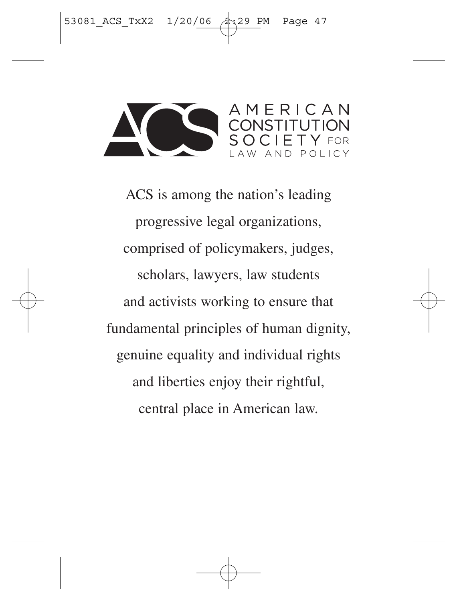

ACS is among the nation's leading progressive legal organizations, comprised of policymakers, judges, scholars, lawyers, law students and activists working to ensure that fundamental principles of human dignity, genuine equality and individual rights and liberties enjoy their rightful, central place in American law.